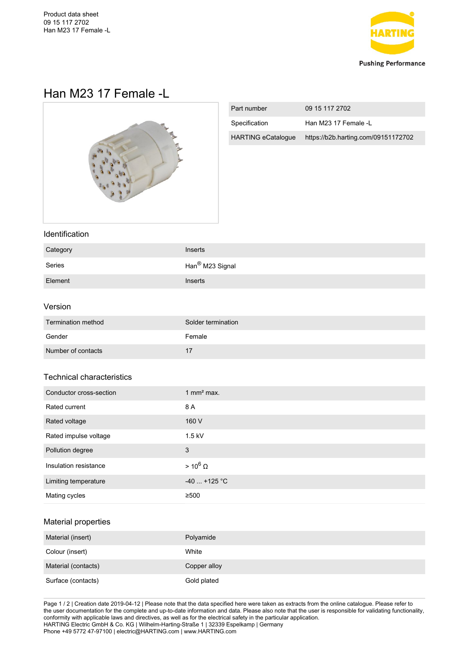

# Han M23 17 Female -L



| Part number               | 09 15 117 2702                      |
|---------------------------|-------------------------------------|
| Specification             | Han M23 17 Female -L                |
| <b>HARTING eCatalogue</b> | https://b2b.harting.com/09151172702 |

### Identification

| Category | Inserts                     |
|----------|-----------------------------|
| Series   | Han <sup>®</sup> M23 Signal |
| Element  | Inserts                     |

#### Version

| Termination method | Solder termination |
|--------------------|--------------------|
| Gender             | Female             |
| Number of contacts |                    |

## Technical characteristics

| Conductor cross-section | 1 mm <sup>2</sup> max. |
|-------------------------|------------------------|
| Rated current           | 8 A                    |
| Rated voltage           | 160 V                  |
| Rated impulse voltage   | $1.5$ kV               |
| Pollution degree        | 3                      |
| Insulation resistance   | $> 10^6 \Omega$        |
| Limiting temperature    | $-40$ +125 °C          |
| Mating cycles           | ≥500                   |

## Material properties

| Material (insert)   | Polyamide    |
|---------------------|--------------|
| Colour (insert)     | White        |
| Material (contacts) | Copper alloy |
| Surface (contacts)  | Gold plated  |

Page 1 / 2 | Creation date 2019-04-12 | Please note that the data specified here were taken as extracts from the online catalogue. Please refer to the user documentation for the complete and up-to-date information and data. Please also note that the user is responsible for validating functionality, conformity with applicable laws and directives, as well as for the electrical safety in the particular application. HARTING Electric GmbH & Co. KG | Wilhelm-Harting-Straße 1 | 32339 Espelkamp | Germany Phone +49 5772 47-97100 | electric@HARTING.com | www.HARTING.com